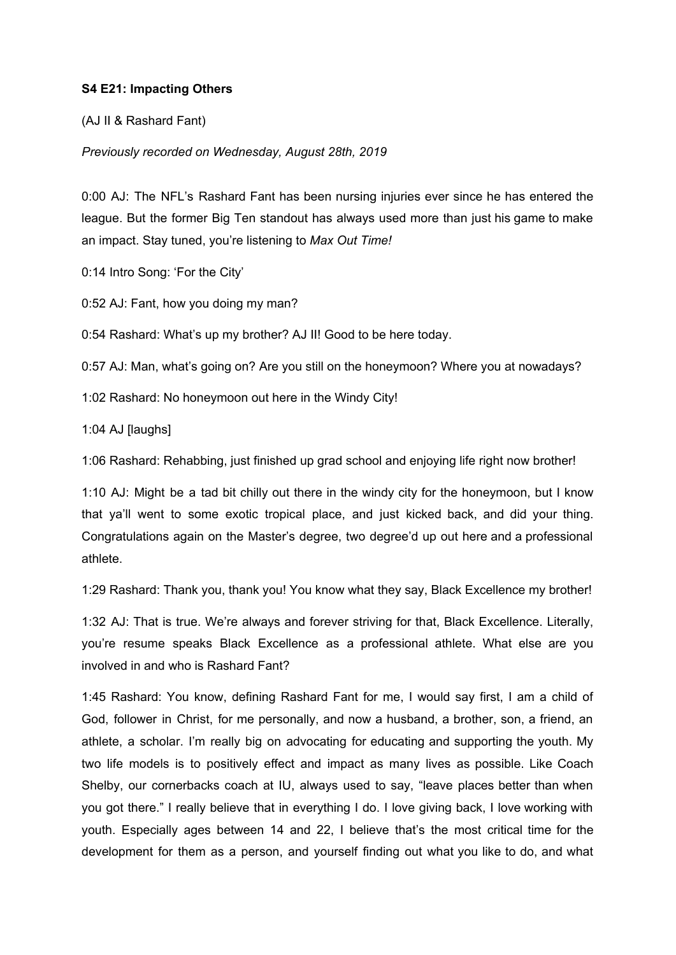## **S4 E21: Impacting Others**

(AJ II & Rashard Fant)

*Previously recorded on Wednesday, August 28th, 2019*

0:00 AJ: The NFL's Rashard Fant has been nursing injuries ever since he has entered the league. But the former Big Ten standout has always used more than just his game to make an impact. Stay tuned, you're listening to *Max Out Time!*

0:14 Intro Song: 'For the City'

0:52 AJ: Fant, how you doing my man?

0:54 Rashard: What's up my brother? AJ II! Good to be here today.

0:57 AJ: Man, what's going on? Are you still on the honeymoon? Where you at nowadays?

1:02 Rashard: No honeymoon out here in the Windy City!

1:04 AJ [laughs]

1:06 Rashard: Rehabbing, just finished up grad school and enjoying life right now brother!

1:10 AJ: Might be a tad bit chilly out there in the windy city for the honeymoon, but I know that ya'll went to some exotic tropical place, and just kicked back, and did your thing. Congratulations again on the Master's degree, two degree'd up out here and a professional athlete.

1:29 Rashard: Thank you, thank you! You know what they say, Black Excellence my brother!

1:32 AJ: That is true. We're always and forever striving for that, Black Excellence. Literally, you're resume speaks Black Excellence as a professional athlete. What else are you involved in and who is Rashard Fant?

1:45 Rashard: You know, defining Rashard Fant for me, I would say first, I am a child of God, follower in Christ, for me personally, and now a husband, a brother, son, a friend, an athlete, a scholar. I'm really big on advocating for educating and supporting the youth. My two life models is to positively effect and impact as many lives as possible. Like Coach Shelby, our cornerbacks coach at IU, always used to say, "leave places better than when you got there." I really believe that in everything I do. I love giving back, I love working with youth. Especially ages between 14 and 22, I believe that's the most critical time for the development for them as a person, and yourself finding out what you like to do, and what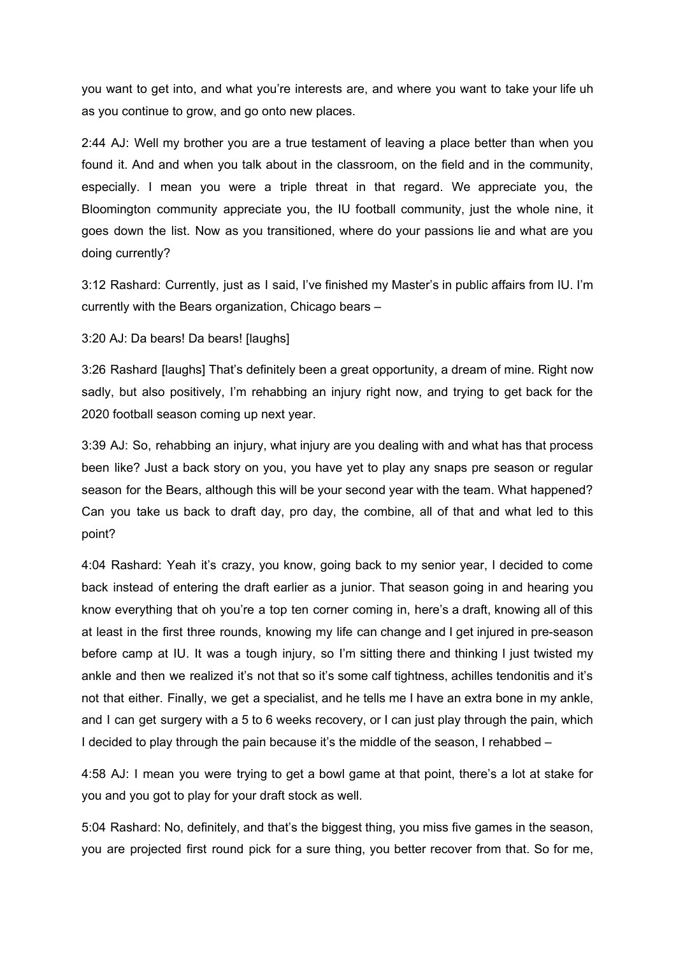you want to get into, and what you're interests are, and where you want to take your life uh as you continue to grow, and go onto new places.

2:44 AJ: Well my brother you are a true testament of leaving a place better than when you found it. And and when you talk about in the classroom, on the field and in the community, especially. I mean you were a triple threat in that regard. We appreciate you, the Bloomington community appreciate you, the IU football community, just the whole nine, it goes down the list. Now as you transitioned, where do your passions lie and what are you doing currently?

3:12 Rashard: Currently, just as I said, I've finished my Master's in public affairs from IU. I'm currently with the Bears organization, Chicago bears –

3:20 AJ: Da bears! Da bears! [laughs]

3:26 Rashard [laughs] That's definitely been a great opportunity, a dream of mine. Right now sadly, but also positively, I'm rehabbing an injury right now, and trying to get back for the 2020 football season coming up next year.

3:39 AJ: So, rehabbing an injury, what injury are you dealing with and what has that process been like? Just a back story on you, you have yet to play any snaps pre season or regular season for the Bears, although this will be your second year with the team. What happened? Can you take us back to draft day, pro day, the combine, all of that and what led to this point?

4:04 Rashard: Yeah it's crazy, you know, going back to my senior year, I decided to come back instead of entering the draft earlier as a junior. That season going in and hearing you know everything that oh you're a top ten corner coming in, here's a draft, knowing all of this at least in the first three rounds, knowing my life can change and I get injured in pre-season before camp at IU. It was a tough injury, so I'm sitting there and thinking I just twisted my ankle and then we realized it's not that so it's some calf tightness, achilles tendonitis and it's not that either. Finally, we get a specialist, and he tells me I have an extra bone in my ankle, and I can get surgery with a 5 to 6 weeks recovery, or I can just play through the pain, which I decided to play through the pain because it's the middle of the season, I rehabbed –

4:58 AJ: I mean you were trying to get a bowl game at that point, there's a lot at stake for you and you got to play for your draft stock as well.

5:04 Rashard: No, definitely, and that's the biggest thing, you miss five games in the season, you are projected first round pick for a sure thing, you better recover from that. So for me,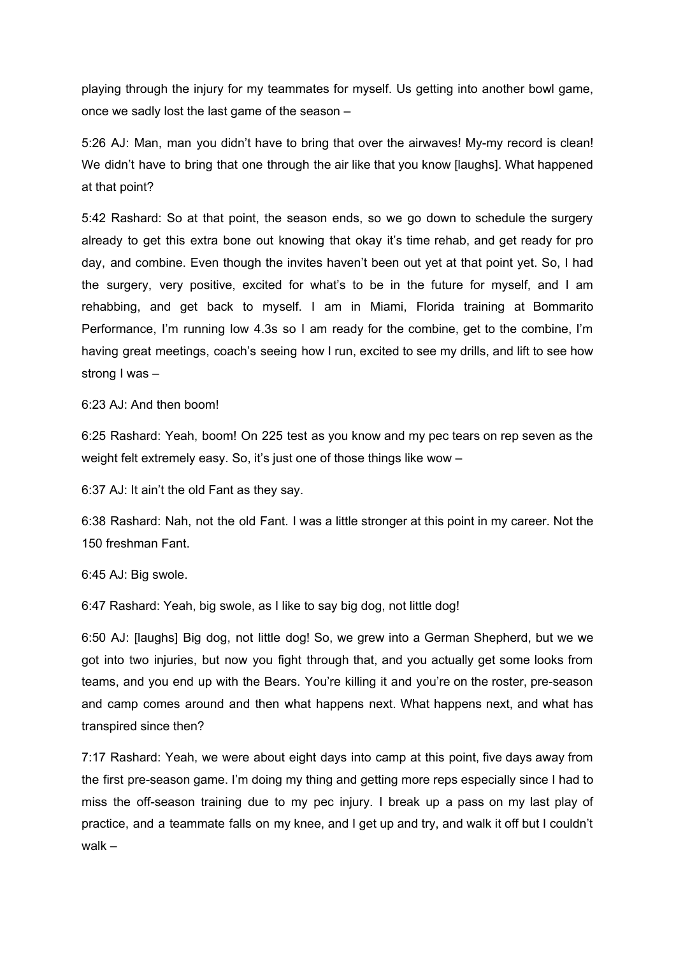playing through the injury for my teammates for myself. Us getting into another bowl game, once we sadly lost the last game of the season –

5:26 AJ: Man, man you didn't have to bring that over the airwaves! My-my record is clean! We didn't have to bring that one through the air like that you know [laughs]. What happened at that point?

5:42 Rashard: So at that point, the season ends, so we go down to schedule the surgery already to get this extra bone out knowing that okay it's time rehab, and get ready for pro day, and combine. Even though the invites haven't been out yet at that point yet. So, I had the surgery, very positive, excited for what's to be in the future for myself, and I am rehabbing, and get back to myself. I am in Miami, Florida training at Bommarito Performance, I'm running low 4.3s so I am ready for the combine, get to the combine, I'm having great meetings, coach's seeing how I run, excited to see my drills, and lift to see how strong I was –

6:23 AJ: And then boom!

6:25 Rashard: Yeah, boom! On 225 test as you know and my pec tears on rep seven as the weight felt extremely easy. So, it's just one of those things like wow -

6:37 AJ: It ain't the old Fant as they say.

6:38 Rashard: Nah, not the old Fant. I was a little stronger at this point in my career. Not the 150 freshman Fant.

6:45 AJ: Big swole.

6:47 Rashard: Yeah, big swole, as I like to say big dog, not little dog!

6:50 AJ: [laughs] Big dog, not little dog! So, we grew into a German Shepherd, but we we got into two injuries, but now you fight through that, and you actually get some looks from teams, and you end up with the Bears. You're killing it and you're on the roster, pre-season and camp comes around and then what happens next. What happens next, and what has transpired since then?

7:17 Rashard: Yeah, we were about eight days into camp at this point, five days away from the first pre-season game. I'm doing my thing and getting more reps especially since I had to miss the off-season training due to my pec injury. I break up a pass on my last play of practice, and a teammate falls on my knee, and I get up and try, and walk it off but I couldn't walk –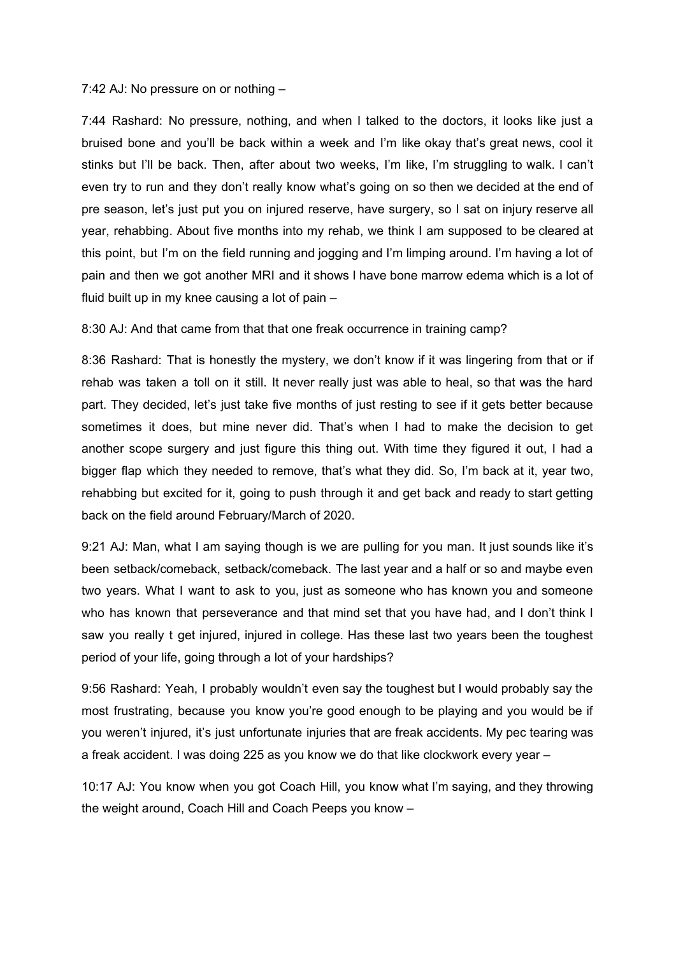## 7:42 AJ: No pressure on or nothing –

7:44 Rashard: No pressure, nothing, and when I talked to the doctors, it looks like just a bruised bone and you'll be back within a week and I'm like okay that's great news, cool it stinks but I'll be back. Then, after about two weeks, I'm like, I'm struggling to walk. I can't even try to run and they don't really know what's going on so then we decided at the end of pre season, let's just put you on injured reserve, have surgery, so I sat on injury reserve all year, rehabbing. About five months into my rehab, we think I am supposed to be cleared at this point, but I'm on the field running and jogging and I'm limping around. I'm having a lot of pain and then we got another MRI and it shows I have bone marrow edema which is a lot of fluid built up in my knee causing a lot of pain –

## 8:30 AJ: And that came from that that one freak occurrence in training camp?

8:36 Rashard: That is honestly the mystery, we don't know if it was lingering from that or if rehab was taken a toll on it still. It never really just was able to heal, so that was the hard part. They decided, let's just take five months of just resting to see if it gets better because sometimes it does, but mine never did. That's when I had to make the decision to get another scope surgery and just figure this thing out. With time they figured it out, I had a bigger flap which they needed to remove, that's what they did. So, I'm back at it, year two, rehabbing but excited for it, going to push through it and get back and ready to start getting back on the field around February/March of 2020.

9:21 AJ: Man, what I am saying though is we are pulling for you man. It just sounds like it's been setback/comeback, setback/comeback. The last year and a half or so and maybe even two years. What I want to ask to you, just as someone who has known you and someone who has known that perseverance and that mind set that you have had, and I don't think I saw you really t get injured, injured in college. Has these last two years been the toughest period of your life, going through a lot of your hardships?

9:56 Rashard: Yeah, I probably wouldn't even say the toughest but I would probably say the most frustrating, because you know you're good enough to be playing and you would be if you weren't injured, it's just unfortunate injuries that are freak accidents. My pec tearing was a freak accident. I was doing 225 as you know we do that like clockwork every year –

10:17 AJ: You know when you got Coach Hill, you know what I'm saying, and they throwing the weight around, Coach Hill and Coach Peeps you know –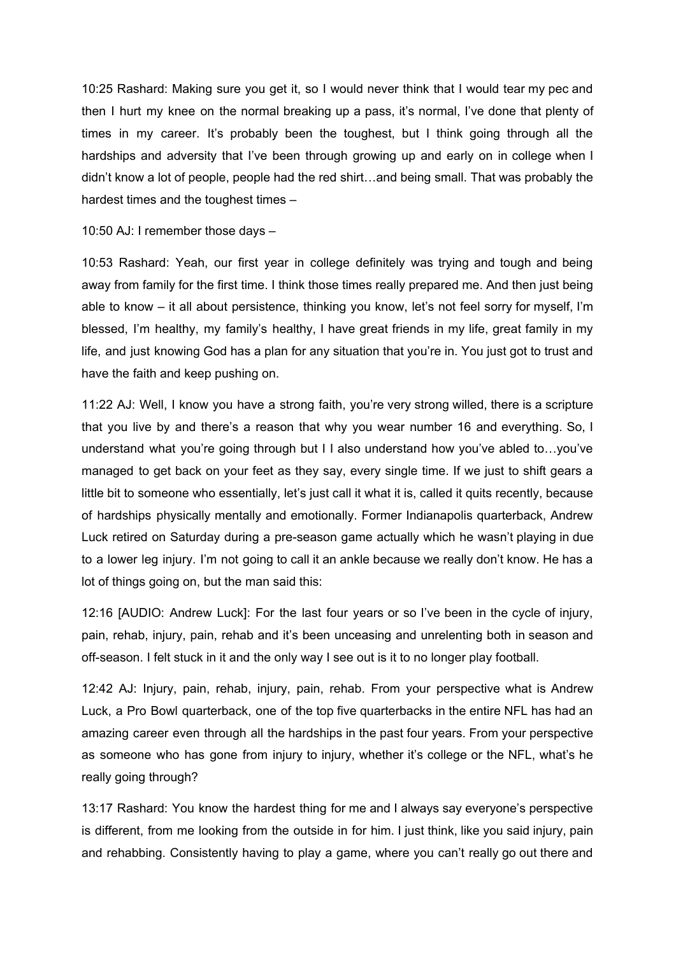10:25 Rashard: Making sure you get it, so I would never think that I would tear my pec and then I hurt my knee on the normal breaking up a pass, it's normal, I've done that plenty of times in my career. It's probably been the toughest, but I think going through all the hardships and adversity that I've been through growing up and early on in college when I didn't know a lot of people, people had the red shirt…and being small. That was probably the hardest times and the toughest times –

10:50 AJ: I remember those days –

10:53 Rashard: Yeah, our first year in college definitely was trying and tough and being away from family for the first time. I think those times really prepared me. And then just being able to know – it all about persistence, thinking you know, let's not feel sorry for myself, I'm blessed, I'm healthy, my family's healthy, I have great friends in my life, great family in my life, and just knowing God has a plan for any situation that you're in. You just got to trust and have the faith and keep pushing on.

11:22 AJ: Well, I know you have a strong faith, you're very strong willed, there is a scripture that you live by and there's a reason that why you wear number 16 and everything. So, I understand what you're going through but I I also understand how you've abled to…you've managed to get back on your feet as they say, every single time. If we just to shift gears a little bit to someone who essentially, let's just call it what it is, called it quits recently, because of hardships physically mentally and emotionally. Former Indianapolis quarterback, Andrew Luck retired on Saturday during a pre-season game actually which he wasn't playing in due to a lower leg injury. I'm not going to call it an ankle because we really don't know. He has a lot of things going on, but the man said this:

12:16 [AUDIO: Andrew Luck]: For the last four years or so I've been in the cycle of injury, pain, rehab, injury, pain, rehab and it's been unceasing and unrelenting both in season and off-season. I felt stuck in it and the only way I see out is it to no longer play football.

12:42 AJ: Injury, pain, rehab, injury, pain, rehab. From your perspective what is Andrew Luck, a Pro Bowl quarterback, one of the top five quarterbacks in the entire NFL has had an amazing career even through all the hardships in the past four years. From your perspective as someone who has gone from injury to injury, whether it's college or the NFL, what's he really going through?

13:17 Rashard: You know the hardest thing for me and I always say everyone's perspective is different, from me looking from the outside in for him. I just think, like you said injury, pain and rehabbing. Consistently having to play a game, where you can't really go out there and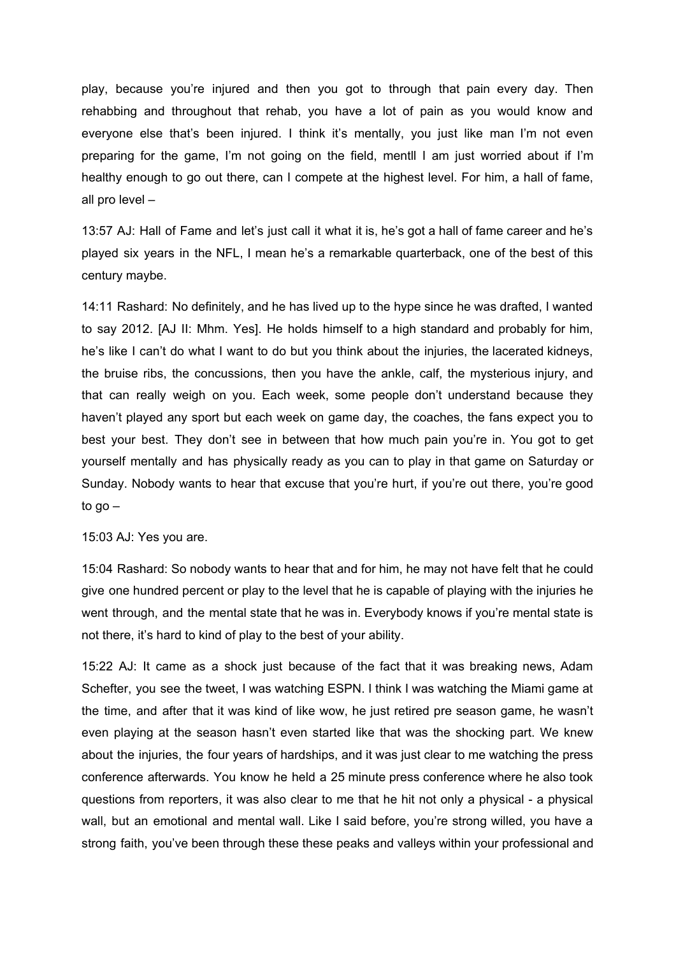play, because you're injured and then you got to through that pain every day. Then rehabbing and throughout that rehab, you have a lot of pain as you would know and everyone else that's been injured. I think it's mentally, you just like man I'm not even preparing for the game, I'm not going on the field, mentll I am just worried about if I'm healthy enough to go out there, can I compete at the highest level. For him, a hall of fame, all pro level –

13:57 AJ: Hall of Fame and let's just call it what it is, he's got a hall of fame career and he's played six years in the NFL, I mean he's a remarkable quarterback, one of the best of this century maybe.

14:11 Rashard: No definitely, and he has lived up to the hype since he was drafted, I wanted to say 2012. [AJ II: Mhm. Yes]. He holds himself to a high standard and probably for him, he's like I can't do what I want to do but you think about the injuries, the lacerated kidneys, the bruise ribs, the concussions, then you have the ankle, calf, the mysterious injury, and that can really weigh on you. Each week, some people don't understand because they haven't played any sport but each week on game day, the coaches, the fans expect you to best your best. They don't see in between that how much pain you're in. You got to get yourself mentally and has physically ready as you can to play in that game on Saturday or Sunday. Nobody wants to hear that excuse that you're hurt, if you're out there, you're good to go –

15:03 AJ: Yes you are.

15:04 Rashard: So nobody wants to hear that and for him, he may not have felt that he could give one hundred percent or play to the level that he is capable of playing with the injuries he went through, and the mental state that he was in. Everybody knows if you're mental state is not there, it's hard to kind of play to the best of your ability.

15:22 AJ: It came as a shock just because of the fact that it was breaking news, Adam Schefter, you see the tweet, I was watching ESPN. I think I was watching the Miami game at the time, and after that it was kind of like wow, he just retired pre season game, he wasn't even playing at the season hasn't even started like that was the shocking part. We knew about the injuries, the four years of hardships, and it was just clear to me watching the press conference afterwards. You know he held a 25 minute press conference where he also took questions from reporters, it was also clear to me that he hit not only a physical - a physical wall, but an emotional and mental wall. Like I said before, you're strong willed, you have a strong faith, you've been through these these peaks and valleys within your professional and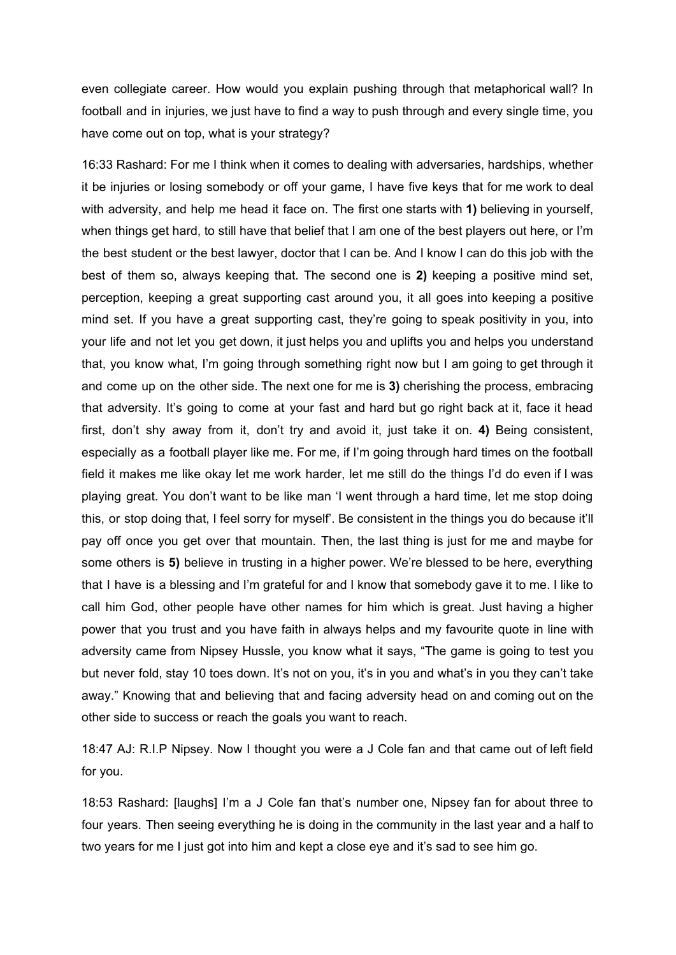even collegiate career. How would you explain pushing through that metaphorical wall? In football and in injuries, we just have to find a way to push through and every single time, you have come out on top, what is your strategy?

16:33 Rashard: For me I think when it comes to dealing with adversaries, hardships, whether it be injuries or losing somebody or off your game, I have five keys that for me work to deal with adversity, and help me head it face on. The first one starts with **1)** believing in yourself, when things get hard, to still have that belief that I am one of the best players out here, or I'm the best student or the best lawyer, doctor that I can be. And I know I can do this job with the best of them so, always keeping that. The second one is **2)** keeping a positive mind set, perception, keeping a great supporting cast around you, it all goes into keeping a positive mind set. If you have a great supporting cast, they're going to speak positivity in you, into your life and not let you get down, it just helps you and uplifts you and helps you understand that, you know what, I'm going through something right now but I am going to get through it and come up on the other side. The next one for me is **3)** cherishing the process, embracing that adversity. It's going to come at your fast and hard but go right back at it, face it head first, don't shy away from it, don't try and avoid it, just take it on. **4)** Being consistent, especially as a football player like me. For me, if I'm going through hard times on the football field it makes me like okay let me work harder, let me still do the things I'd do even if I was playing great. You don't want to be like man 'I went through a hard time, let me stop doing this, or stop doing that, I feel sorry for myself'. Be consistent in the things you do because it'll pay off once you get over that mountain. Then, the last thing is just for me and maybe for some others is **5)** believe in trusting in a higher power. We're blessed to be here, everything that I have is a blessing and I'm grateful for and I know that somebody gave it to me. I like to call him God, other people have other names for him which is great. Just having a higher power that you trust and you have faith in always helps and my favourite quote in line with adversity came from Nipsey Hussle, you know what it says, "The game is going to test you but never fold, stay 10 toes down. It's not on you, it's in you and what's in you they can't take away." Knowing that and believing that and facing adversity head on and coming out on the other side to success or reach the goals you want to reach.

18:47 AJ: R.I.P Nipsey. Now I thought you were a J Cole fan and that came out of left field for you.

18:53 Rashard: [laughs] I'm a J Cole fan that's number one, Nipsey fan for about three to four years. Then seeing everything he is doing in the community in the last year and a half to two years for me I just got into him and kept a close eye and it's sad to see him go.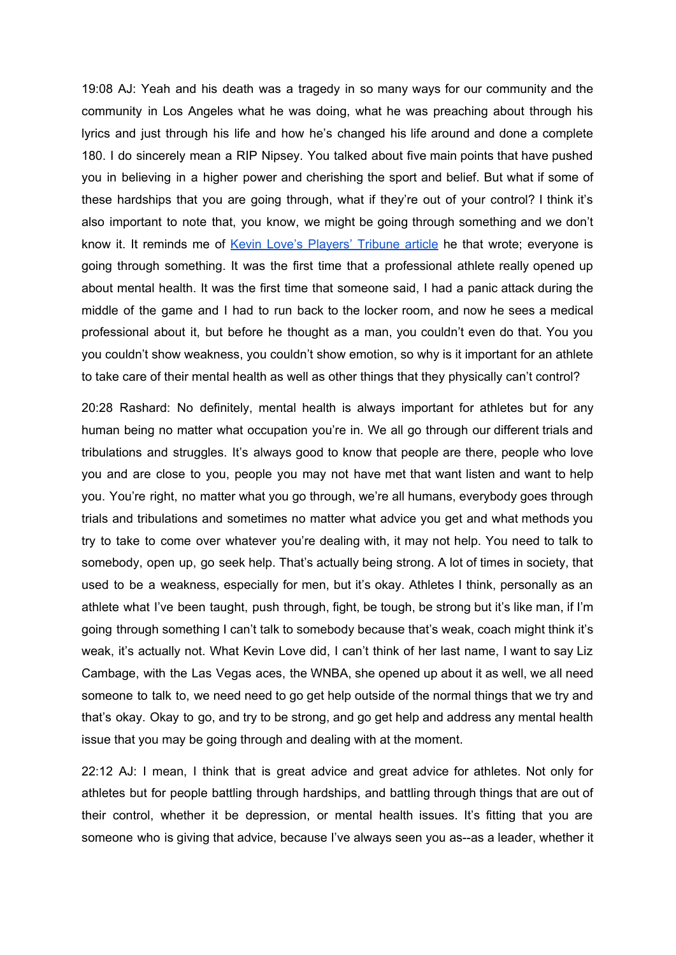19:08 AJ: Yeah and his death was a tragedy in so many ways for our community and the community in Los Angeles what he was doing, what he was preaching about through his lyrics and just through his life and how he's changed his life around and done a complete 180. I do sincerely mean a RIP Nipsey. You talked about five main points that have pushed you in believing in a higher power and cherishing the sport and belief. But what if some of these hardships that you are going through, what if they're out of your control? I think it's also important to note that, you know, we might be going through something and we don't know it. It reminds me of Kevin Love's [Players'](https://www.theplayerstribune.com/en-us/articles/kevin-love-everyone-is-going-through-something) Tribune article he that wrote; everyone is going through something. It was the first time that a professional athlete really opened up about mental health. It was the first time that someone said, I had a panic attack during the middle of the game and I had to run back to the locker room, and now he sees a medical professional about it, but before he thought as a man, you couldn't even do that. You you you couldn't show weakness, you couldn't show emotion, so why is it important for an athlete to take care of their mental health as well as other things that they physically can't control?

20:28 Rashard: No definitely, mental health is always important for athletes but for any human being no matter what occupation you're in. We all go through our different trials and tribulations and struggles. It's always good to know that people are there, people who love you and are close to you, people you may not have met that want listen and want to help you. You're right, no matter what you go through, we're all humans, everybody goes through trials and tribulations and sometimes no matter what advice you get and what methods you try to take to come over whatever you're dealing with, it may not help. You need to talk to somebody, open up, go seek help. That's actually being strong. A lot of times in society, that used to be a weakness, especially for men, but it's okay. Athletes I think, personally as an athlete what I've been taught, push through, fight, be tough, be strong but it's like man, if I'm going through something I can't talk to somebody because that's weak, coach might think it's weak, it's actually not. What Kevin Love did, I can't think of her last name, I want to say Liz Cambage, with the Las Vegas aces, the WNBA, she opened up about it as well, we all need someone to talk to, we need need to go get help outside of the normal things that we try and that's okay. Okay to go, and try to be strong, and go get help and address any mental health issue that you may be going through and dealing with at the moment.

22:12 AJ: I mean, I think that is great advice and great advice for athletes. Not only for athletes but for people battling through hardships, and battling through things that are out of their control, whether it be depression, or mental health issues. It's fitting that you are someone who is giving that advice, because I've always seen you as--as a leader, whether it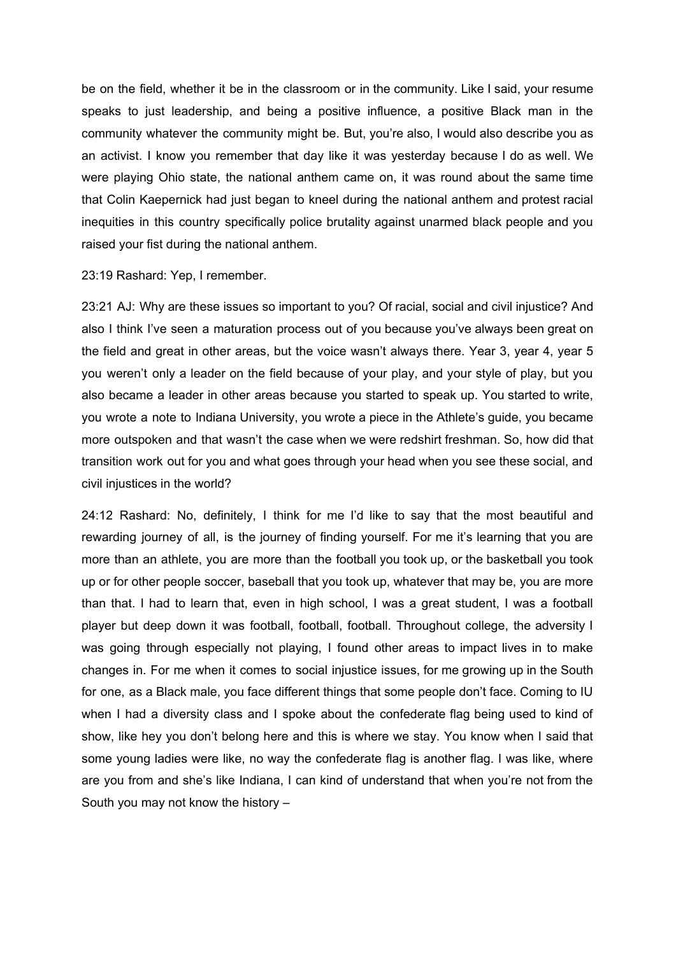be on the field, whether it be in the classroom or in the community. Like I said, your resume speaks to just leadership, and being a positive influence, a positive Black man in the community whatever the community might be. But, you're also, I would also describe you as an activist. I know you remember that day like it was yesterday because I do as well. We were playing Ohio state, the national anthem came on, it was round about the same time that Colin Kaepernick had just began to kneel during the national anthem and protest racial inequities in this country specifically police brutality against unarmed black people and you raised your fist during the national anthem.

23:19 Rashard: Yep, I remember.

23:21 AJ: Why are these issues so important to you? Of racial, social and civil injustice? And also I think I've seen a maturation process out of you because you've always been great on the field and great in other areas, but the voice wasn't always there. Year 3, year 4, year 5 you weren't only a leader on the field because of your play, and your style of play, but you also became a leader in other areas because you started to speak up. You started to write, you wrote a note to Indiana University, you wrote a piece in the Athlete's guide, you became more outspoken and that wasn't the case when we were redshirt freshman. So, how did that transition work out for you and what goes through your head when you see these social, and civil injustices in the world?

24:12 Rashard: No, definitely, I think for me I'd like to say that the most beautiful and rewarding journey of all, is the journey of finding yourself. For me it's learning that you are more than an athlete, you are more than the football you took up, or the basketball you took up or for other people soccer, baseball that you took up, whatever that may be, you are more than that. I had to learn that, even in high school, I was a great student, I was a football player but deep down it was football, football, football. Throughout college, the adversity I was going through especially not playing, I found other areas to impact lives in to make changes in. For me when it comes to social injustice issues, for me growing up in the South for one, as a Black male, you face different things that some people don't face. Coming to IU when I had a diversity class and I spoke about the confederate flag being used to kind of show, like hey you don't belong here and this is where we stay. You know when I said that some young ladies were like, no way the confederate flag is another flag. I was like, where are you from and she's like Indiana, I can kind of understand that when you're not from the South you may not know the history –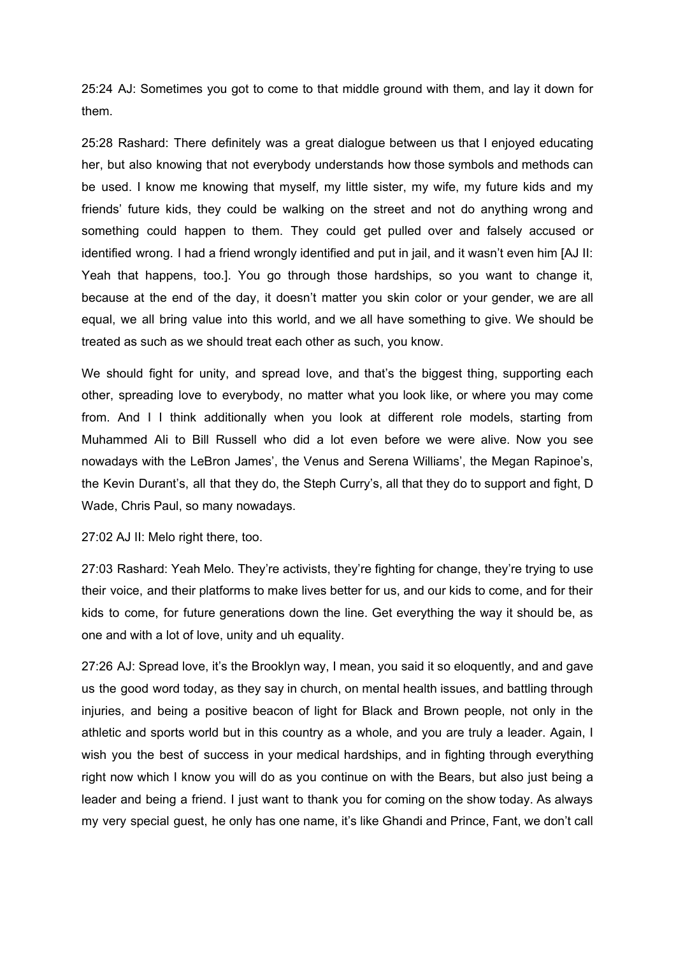25:24 AJ: Sometimes you got to come to that middle ground with them, and lay it down for them.

25:28 Rashard: There definitely was a great dialogue between us that I enjoyed educating her, but also knowing that not everybody understands how those symbols and methods can be used. I know me knowing that myself, my little sister, my wife, my future kids and my friends' future kids, they could be walking on the street and not do anything wrong and something could happen to them. They could get pulled over and falsely accused or identified wrong. I had a friend wrongly identified and put in jail, and it wasn't even him [AJ II: Yeah that happens, too.]. You go through those hardships, so you want to change it, because at the end of the day, it doesn't matter you skin color or your gender, we are all equal, we all bring value into this world, and we all have something to give. We should be treated as such as we should treat each other as such, you know.

We should fight for unity, and spread love, and that's the biggest thing, supporting each other, spreading love to everybody, no matter what you look like, or where you may come from. And I I think additionally when you look at different role models, starting from Muhammed Ali to Bill Russell who did a lot even before we were alive. Now you see nowadays with the LeBron James', the Venus and Serena Williams', the Megan Rapinoe's, the Kevin Durant's, all that they do, the Steph Curry's, all that they do to support and fight, D Wade, Chris Paul, so many nowadays.

27:02 AJ II: Melo right there, too.

27:03 Rashard: Yeah Melo. They're activists, they're fighting for change, they're trying to use their voice, and their platforms to make lives better for us, and our kids to come, and for their kids to come, for future generations down the line. Get everything the way it should be, as one and with a lot of love, unity and uh equality.

27:26 AJ: Spread love, it's the Brooklyn way, I mean, you said it so eloquently, and and gave us the good word today, as they say in church, on mental health issues, and battling through injuries, and being a positive beacon of light for Black and Brown people, not only in the athletic and sports world but in this country as a whole, and you are truly a leader. Again, I wish you the best of success in your medical hardships, and in fighting through everything right now which I know you will do as you continue on with the Bears, but also just being a leader and being a friend. I just want to thank you for coming on the show today. As always my very special guest, he only has one name, it's like Ghandi and Prince, Fant, we don't call